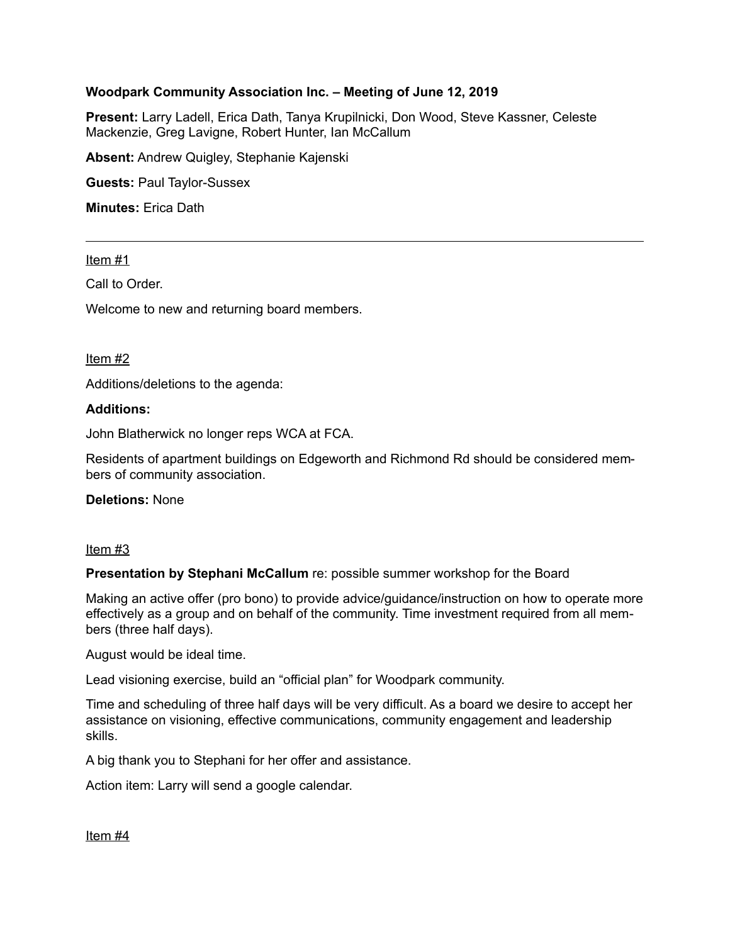## **Woodpark Community Association Inc. – Meeting of June 12, 2019**

**Present:** Larry Ladell, Erica Dath, Tanya Krupilnicki, Don Wood, Steve Kassner, Celeste Mackenzie, Greg Lavigne, Robert Hunter, Ian McCallum

**Absent:** Andrew Quigley, Stephanie Kajenski

**Guests:** Paul Taylor-Sussex

**Minutes:** Erica Dath

#### Item #1

Call to Order.

Welcome to new and returning board members.

#### Item #2

Additions/deletions to the agenda:

#### **Additions:**

John Blatherwick no longer reps WCA at FCA.

Residents of apartment buildings on Edgeworth and Richmond Rd should be considered members of community association.

**Deletions:** None

#### Item #3

**Presentation by Stephani McCallum** re: possible summer workshop for the Board

Making an active offer (pro bono) to provide advice/guidance/instruction on how to operate more effectively as a group and on behalf of the community. Time investment required from all members (three half days).

August would be ideal time.

Lead visioning exercise, build an "official plan" for Woodpark community.

Time and scheduling of three half days will be very difficult. As a board we desire to accept her assistance on visioning, effective communications, community engagement and leadership skills.

A big thank you to Stephani for her offer and assistance.

Action item: Larry will send a google calendar.

Item #4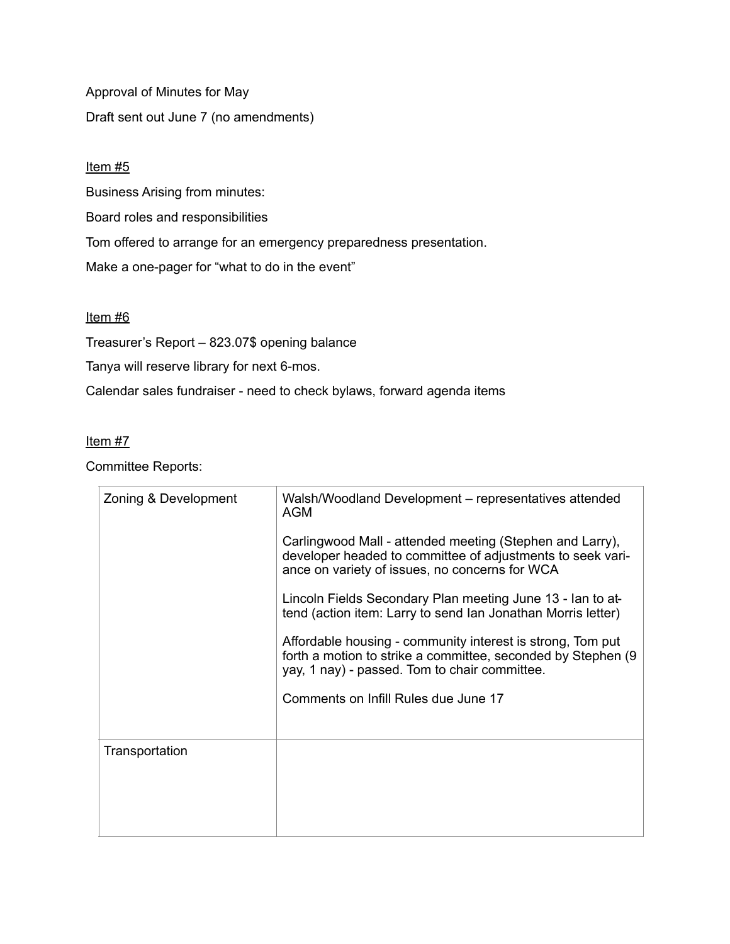Approval of Minutes for May Draft sent out June 7 (no amendments)

## Item #5

Business Arising from minutes:

Board roles and responsibilities

Tom offered to arrange for an emergency preparedness presentation.

Make a one-pager for "what to do in the event"

## Item #6

Treasurer's Report – 823.07\$ opening balance

Tanya will reserve library for next 6-mos.

Calendar sales fundraiser - need to check bylaws, forward agenda items

## Item #7

Committee Reports:

| Zoning & Development | Walsh/Woodland Development – representatives attended<br>AGM                                                                                                                 |
|----------------------|------------------------------------------------------------------------------------------------------------------------------------------------------------------------------|
|                      | Carlingwood Mall - attended meeting (Stephen and Larry),<br>developer headed to committee of adjustments to seek vari-<br>ance on variety of issues, no concerns for WCA     |
|                      | Lincoln Fields Secondary Plan meeting June 13 - Ian to at-<br>tend (action item: Larry to send Ian Jonathan Morris letter)                                                   |
|                      | Affordable housing - community interest is strong, Tom put<br>forth a motion to strike a committee, seconded by Stephen (9)<br>yay, 1 nay) - passed. Tom to chair committee. |
|                      | Comments on Infill Rules due June 17                                                                                                                                         |
| Transportation       |                                                                                                                                                                              |
|                      |                                                                                                                                                                              |
|                      |                                                                                                                                                                              |